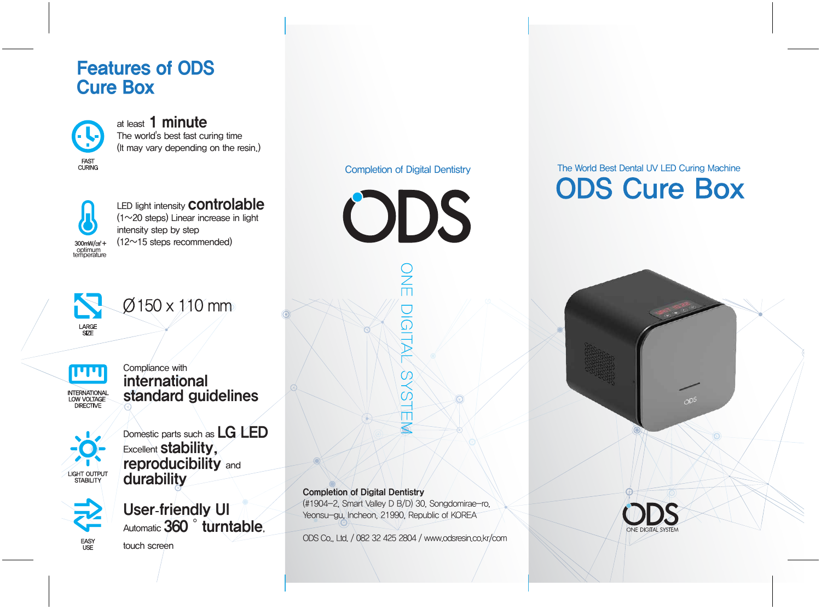### Features of ODS Cure Box

**FAST<br>CURING** 

at least 1 minute The world's best fast curing time (It may vary depending on the resin.)



LED light intensity **controlable** (1~20 steps) Linear increase in light intensity step by step  $(12~15$  steps recommended)



 $\varnothing$ 150 x 110 mm



Compliance with international standard guidelines



Domestic parts such as LG LED **Excellent stability,** reproducibility and durability



User-friendly UI Automatic 360<sup>°</sup> turntable,

touch screen



# $\frac{2}{\pi}$ IGITAL SYSTEM

Completion of Digital Dentistry (#1904-2, Smart Valley D B/D) 30, Songdomirae-ro, Yeonsu-gu, Incheon, 21990, Republic of KOREA

ODS Co., Ltd. / 082 32 425 2804 / www.odsresin.co.kr/com

# Completion of Digital Dentistry The World Best Dental UV LED Curing Machine **ODS Cure Box**

 $0<sup>5</sup>$